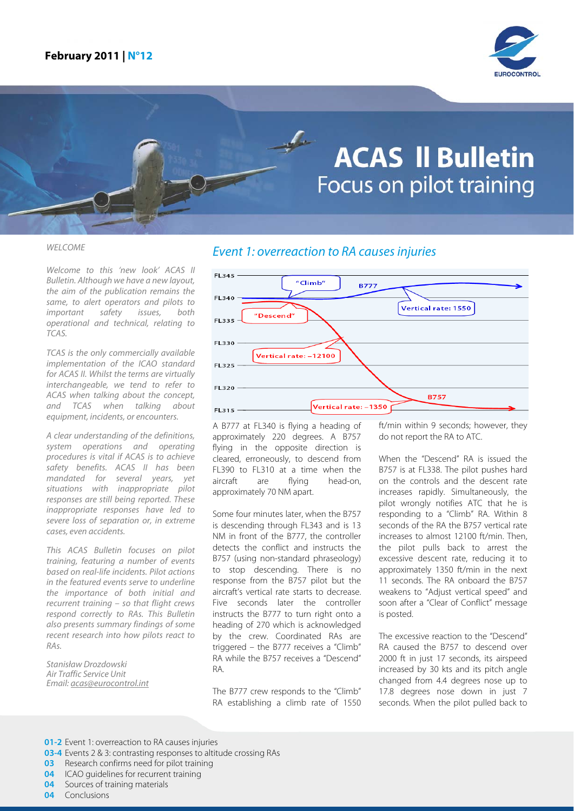

# **ACAS II Bulletin** Focus on pilot training

Welcome to this 'new look' ACAS II Bulletin. Although we have a new layout, the aim of the publication remains the same, to alert operators and pilots to important safety issues, both operational and technical, relating to TCAS.

TCAS is the only commercially available implementation of the ICAO standard for ACAS II. Whilst the terms are virtually interchangeable, we tend to refer to ACAS when talking about the concept, and TCAS when talking about equipment, incidents, or encounters.

A clear understanding of the definitions, system operations and operating procedures is vital if ACAS is to achieve safety benefits. ACAS II has been mandated for several years, yet situations with inappropriate pilot responses are still being reported. These inappropriate responses have led to severe loss of separation or, in extreme cases, even accidents.

This ACAS Bulletin focuses on pilot training, featuring a number of events based on real-life incidents. Pilot actions in the featured events serve to underline the importance of both initial and recurrent training – so that flight crews respond correctly to RAs. This Bulletin also presents summary findings of some recent research into how pilots react to RAs.

Stanisław Drozdowski Air Traffic Service Unit Email: [acas@eurocontrol.int](mailto:acas@eurocontrol.int)

# WELCOME Event 1: overreaction to RA causes injuries



A B777 at FL340 is flying a heading of approximately 220 degrees. A B757 flying in the opposite direction is cleared, erroneously, to descend from FL390 to FL310 at a time when the aircraft are flying head-on, approximately 70 NM apart.

Some four minutes later, when the B757 is descending through FL343 and is 13 NM in front of the B777, the controller detects the conflict and instructs the B757 (using non-standard phraseology) to stop descending. There is no response from the B757 pilot but the aircraft's vertical rate starts to decrease. Five seconds later the controller instructs the B777 to turn right onto a heading of 270 which is acknowledged by the crew. Coordinated RAs are triggered – the B777 receives a "Climb" RA while the B757 receives a "Descend" RA.

The B777 crew responds to the "Climb" RA establishing a climb rate of 1550 ft/min within 9 seconds; however, they do not report the RA to ATC.

When the "Descend" RA is issued the B757 is at FL338. The pilot pushes hard on the controls and the descent rate increases rapidly. Simultaneously, the pilot wrongly notifies ATC that he is responding to a "Climb" RA. Within 8 seconds of the RA the B757 vertical rate increases to almost 12100 ft/min. Then, the pilot pulls back to arrest the excessive descent rate, reducing it to approximately 1350 ft/min in the next 11 seconds. The RA onboard the B757 weakens to "Adjust vertical speed" and soon after a "Clear of Conflict" message is posted.

The excessive reaction to the "Descend" RA caused the B757 to descend over 2000 ft in just 17 seconds, its airspeed increased by 30 kts and its pitch angle changed from 4.4 degrees nose up to 17.8 degrees nose down in just 7 seconds. When the pilot pulled back to

- **03** Research confirms need for pilot training<br>**04** ICAO quidelines for recurrent training
- **04** ICAO guidelines for recurrent training<br>**04** Sources of training materials
- **04** Sources of training materials<br>**04** Conclusions
- **04** Conclusions

**<sup>01-2</sup>** Event 1: overreaction to RA causes injuries

**<sup>03-4</sup>** Events 2 & 3: contrasting responses to altitude crossing RAs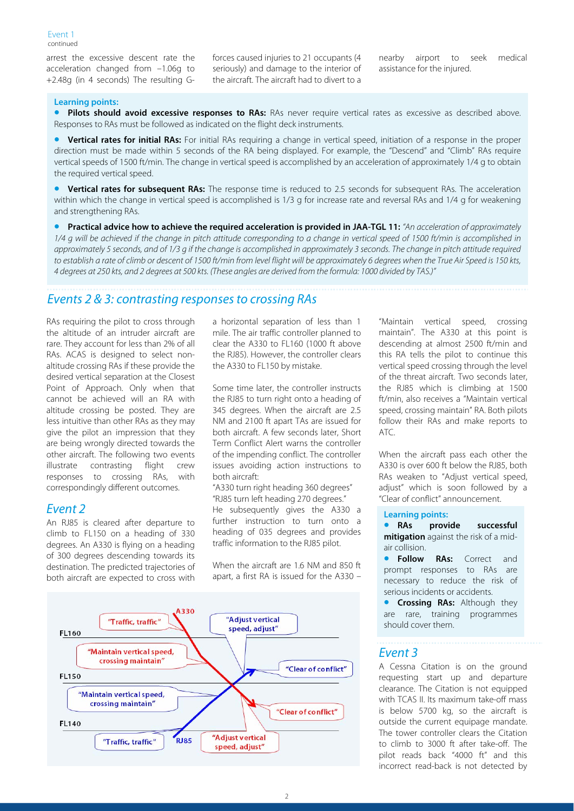arrest the excessive descent rate the acceleration changed from –1.06g to +2.48g (in 4 seconds) The resulting G- forces caused injuries to 21 occupants (4 seriously) and damage to the interior of the aircraft. The aircraft had to divert to a

nearby airport to seek medical assistance for the injured.

#### **Learning points:**

Pilots should avoid excessive responses to RAs: RAs never require vertical rates as excessive as described above. Responses to RAs must be followed as indicated on the flight deck instruments.

• **Vertical rates for initial RAs:** For initial RAs requiring a change in vertical speed, initiation of a response in the proper direction must be made within 5 seconds of the RA being displayed. For example, the "Descend" and "Climb" RAs require vertical speeds of 1500 ft/min. The change in vertical speed is accomplished by an acceleration of approximately 1/4 g to obtain the required vertical speed.

• **Vertical rates for subsequent RAs:** The response time is reduced to 2.5 seconds for subsequent RAs. The acceleration within which the change in vertical speed is accomplished is 1/3 g for increase rate and reversal RAs and 1/4 g for weakening and strengthening RAs.

• **Practical advice how to achieve the required acceleration is provided in JAA-TGL 11:** "An acceleration of approximately 1/4 g will be achieved if the change in pitch attitude corresponding to a change in vertical speed of 1500 ft/min is accomplished in approximately 5 seconds, and of 1/3 g if the change is accomplished in approximately 3 seconds. The change in pitch attitude required to establish a rate of climb or descent of 1500 ft/min from level flight will be approximately 6 degrees when the True Air Speed is 150 kts, 4 degrees at 250 kts, and 2 degrees at 500 kts. (These angles are derived from the formula: 1000 divided by TAS.)"

# Events 2 & 3: contrasting responses to crossing RAs

RAs requiring the pilot to cross through the altitude of an intruder aircraft are rare. They account for less than 2% of all RAs. ACAS is designed to select nonaltitude crossing RAs if these provide the desired vertical separation at the Closest Point of Approach. Only when that cannot be achieved will an RA with altitude crossing be posted. They are less intuitive than other RAs as they may give the pilot an impression that they are being wrongly directed towards the other aircraft. The following two events illustrate contrasting flight crew responses to crossing RAs, with correspondingly different outcomes.

#### Event 2

An RJ85 is cleared after departure to climb to FL150 on a heading of 330 degrees. An A330 is flying on a heading of 300 degrees descending towards its destination. The predicted trajectories of both aircraft are expected to cross with

a horizontal separation of less than 1 mile. The air traffic controller planned to clear the A330 to FL160 (1000 ft above the RJ85). However, the controller clears the A330 to FL150 by mistake.

Some time later, the controller instructs the RJ85 to turn right onto a heading of 345 degrees. When the aircraft are 2.5 NM and 2100 ft apart TAs are issued for both aircraft. A few seconds later, Short Term Conflict Alert warns the controller of the impending conflict. The controller issues avoiding action instructions to both aircraft:

"A330 turn right heading 360 degrees" "RJ85 turn left heading 270 degrees."

He subsequently gives the A330 a further instruction to turn onto a heading of 035 degrees and provides traffic information to the RJ85 pilot.

When the aircraft are 1.6 NM and 850 ft apart, a first RA is issued for the A330 –



"Maintain vertical speed, crossing maintain". The A330 at this point is descending at almost 2500 ft/min and this RA tells the pilot to continue this vertical speed crossing through the level of the threat aircraft. Two seconds later, the RJ85 which is climbing at 1500 ft/min, also receives a "Maintain vertical speed, crossing maintain" RA. Both pilots follow their RAs and make reports to ATC.

When the aircraft pass each other the A330 is over 600 ft below the RJ85, both RAs weaken to "Adjust vertical speed, adjust" which is soon followed by a "Clear of conflict" announcement.

#### **Learning points:**

• **RAs provide successful mitigation** against the risk of a midair collision.

**Follow RAs:** Correct and prompt responses to RAs are necessary to reduce the risk of serious incidents or accidents.

• **Crossing RAs:** Although they are rare, training programmes should cover them.

#### Event 3

A Cessna Citation is on the ground requesting start up and departure clearance. The Citation is not equipped with TCAS II. Its maximum take-off mass is below 5700 kg, so the aircraft is outside the current equipage mandate. The tower controller clears the Citation to climb to 3000 ft after take-off. The pilot reads back "4000 ft" and this incorrect read-back is not detected by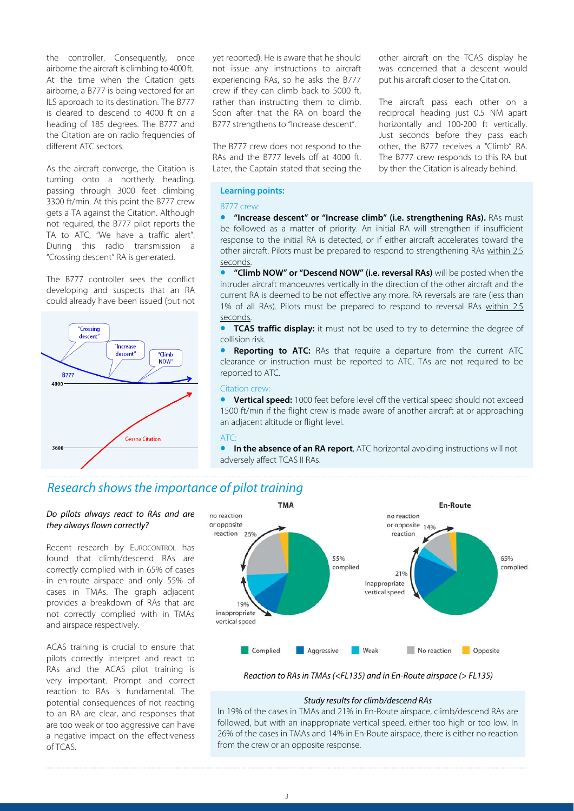the controller. Consequently, once airborne the aircraft is climbing to 4000 ft. At the time when the Citation gets airborne, a B777 is being vectored for an ILS approach to its destination. The B777 is cleared to descend to 4000 ft on a heading of 185 degrees. The B777 and the Citation are on radio frequencies of different ATC sectors.

As the aircraft converge, the Citation is turning onto a northerly heading, passing through 3000 feet climbing 3300 ft/min. At this point the B777 crew gets a TA against the Citation. Although not required, the B777 pilot reports the TA to ATC, "We have a traffic alert". During this radio transmission a "Crossing descent" RA is generated.

The B777 controller sees the conflict developing and suspects that an RA could already have been issued (but not



yet reported). He is aware that he should not issue any instructions to aircraft experiencing RAs, so he asks the B777 crew if they can climb back to 5000 ft, rather than instructing them to climb. Soon after that the RA on board the B777 strengthens to "Increase descent".

The B777 crew does not respond to the RAs and the B777 levels off at 4000 ft. Later, the Captain stated that seeing the

other aircraft on the TCAS display he was concerned that a descent would put his aircraft closer to the Citation.

The aircraft pass each other on a reciprocal heading just 0.5 NM apart horizontally and 100-200 ft vertically. Just seconds before they pass each other, the B777 receives a "Climb" RA. The B777 crew responds to this RA but by then the Citation is already behind.

#### **Learning points:**

#### B777 crew:

• **"Increase descent" or "Increase climb" (i.e. strengthening RAs).** RAs must be followed as a matter of priority. An initial RA will strengthen if insufficient response to the initial RA is detected, or if either aircraft accelerates toward the other aircraft. Pilots must be prepared to respond to strengthening RAs within 2.5 seconds.

• **"Climb NOW" or "Descend NOW" (i.e. reversal RAs)** will be posted when the intruder aircraft manoeuvres vertically in the direction of the other aircraft and the current RA is deemed to be not effective any more. RA reversals are rare (less than 1% of all RAs). Pilots must be prepared to respond to reversal RAs within 2.5 seconds.

• **TCAS traffic display:** it must not be used to try to determine the degree of collision risk.

**Reporting to ATC:** RAs that require a departure from the current ATC clearance or instruction must be reported to ATC. TAs are not required to be reported to ATC.

#### Citation crew:

• **Vertical speed:** 1000 feet before level off the vertical speed should not exceed 1500 ft/min if the flight crew is made aware of another aircraft at or approaching an adjacent altitude or flight level.

#### ATC:

**In the absence of an RA report**, ATC horizontal avoiding instructions will not adversely affect TCAS II RAs.

# Research shows the importance of pilot training

#### Do pilots always react to RAs and are they always flown correctly?

Recent research by EUROCONTROL has found that climb/descend RAs are correctly complied with in 65% of cases in en-route airspace and only 55% of cases in TMAs. The graph adjacent provides a breakdown of RAs that are not correctly complied with in TMAs and airspace respectively.

ACAS training is crucial to ensure that pilots correctly interpret and react to RAs and the ACAS pilot training is very important. Prompt and correct reaction to RAs is fundamental. The potential consequences of not reacting to an RA are clear, and responses that are too weak or too aggressive can have a negative impact on the effectiveness of TCAS.



#### Reaction to RAs in TMAs (<FL135) and in En-Route airspace (> FL135)

#### Study results for climb/descend RAs

In 19% of the cases in TMAs and 21% in En-Route airspace, climb/descend RAs are followed, but with an inappropriate vertical speed, either too high or too low. In 26% of the cases in TMAs and 14% in En-Route airspace, there is either no reaction from the crew or an opposite response.